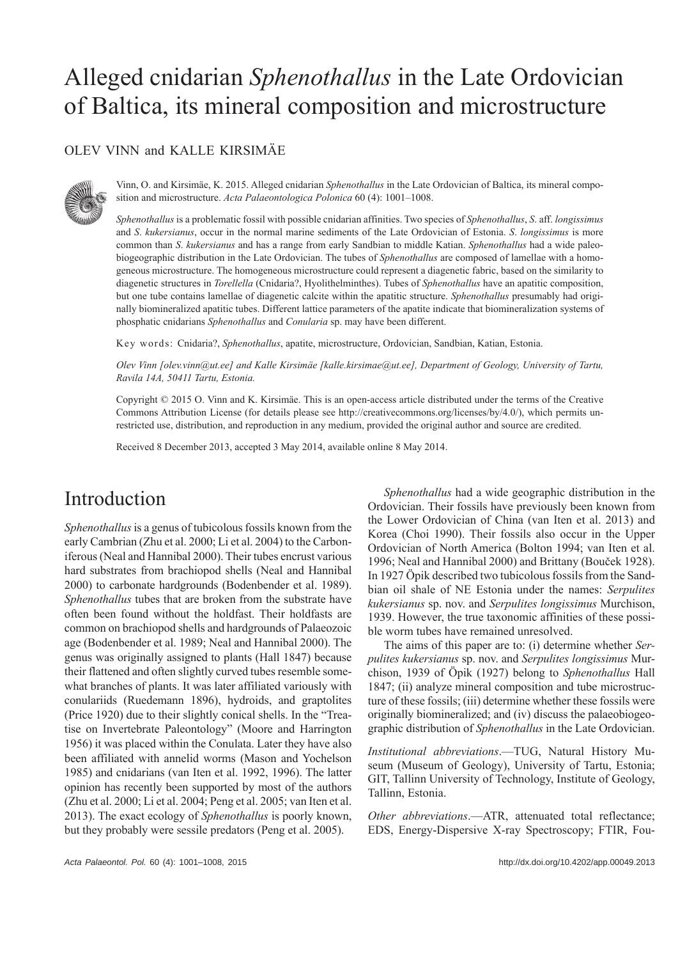# Alleged cnidarian *Sphenothallus* in the Late Ordovician of Baltica, its mineral composition and microstructure

#### OLEV VINN and KALLE KIRSIMÄE



Vinn, O. and Kirsimäe, K. 2015. Alleged cnidarian *Sphenothallus* in the Late Ordovician of Baltica, its mineral composition and microstructure. *Acta Palaeontologica Polonica* 60 (4): 1001–1008.

*Sphenothallus* is a problematic fossil with possible cnidarian affinities. Two species of *Sphenothallus*, *S*. aff. *longissimus* and *S*. *kukersianus*, occur in the normal marine sediments of the Late Ordovician of Estonia. *S*. *longissimus* is more common than *S*. *kukersianus* and has a range from early Sandbian to middle Katian. *Sphenothallus* had a wide paleobiogeographic distribution in the Late Ordovician. The tubes of *Sphenothallus* are composed of lamellae with a homogeneous microstructure. The homogeneous microstructure could represent a diagenetic fabric, based on the similarity to diagenetic structures in *Torellella* (Cnidaria?, Hyolithelminthes). Tubes of *Sphenothallus* have an apatitic composition, but one tube contains lamellae of diagenetic calcite within the apatitic structure. *Sphenothallus* presumably had originally biomineralized apatitic tubes. Different lattice parameters of the apatite indicate that biomineralization systems of phosphatic cnidarians *Sphenothallus* and *Conularia* sp. may have been different.

Key words: Cnidaria?, *Sphenothallus*, apatite, microstructure, Ordovician, Sandbian, Katian, Estonia.

*Olev Vinn [olev.vinn@ut.ee] and Kalle Kirsimäe [kalle.kirsimae@ut.ee], Department of Geology, University of Tartu, Ravila 14A, 50411 Tartu, Estonia.*

Copyright © 2015 O. Vinn and K. Kirsimäe. This is an open-access article distributed under the terms of the Creative Commons Attribution License (for details please see http://creativecommons.org/licenses/by/4.0/), which permits unrestricted use, distribution, and reproduction in any medium, provided the original author and source are credited.

Received 8 December 2013, accepted 3 May 2014, available online 8 May 2014.

# Introduction

*Sphenothallus* is a genus of tubicolous fossils known from the early Cambrian (Zhu et al. 2000; Li et al. 2004) to the Carboniferous (Neal and Hannibal 2000). Their tubes encrust various hard substrates from brachiopod shells (Neal and Hannibal 2000) to carbonate hardgrounds (Bodenbender et al. 1989). *Sphenothallus* tubes that are broken from the substrate have often been found without the holdfast. Their holdfasts are common on brachiopod shells and hardgrounds of Palaeozoic age (Bodenbender et al. 1989; Neal and Hannibal 2000). The genus was originally assigned to plants (Hall 1847) because their flattened and often slightly curved tubes resemble somewhat branches of plants. It was later affiliated variously with conulariids (Ruedemann 1896), hydroids, and graptolites (Price 1920) due to their slightly conical shells. In the "Treatise on Invertebrate Paleontology" (Moore and Harrington 1956) it was placed within the Conulata. Later they have also been affiliated with annelid worms (Mason and Yochelson 1985) and cnidarians (van Iten et al. 1992, 1996). The latter opinion has recently been supported by most of the authors (Zhu et al. 2000; Li et al. 2004; Peng et al. 2005; van Iten et al. 2013). The exact ecology of *Sphenothallus* is poorly known, but they probably were sessile predators (Peng et al. 2005).

*Sphenothallus* had a wide geographic distribution in the Ordovician. Their fossils have previously been known from the Lower Ordovician of China (van Iten et al. 2013) and Korea (Choi 1990). Their fossils also occur in the Upper Ordovician of North America (Bolton 1994; van Iten et al. 1996; Neal and Hannibal 2000) and Brittany (Bouček 1928). In 1927 Öpik described two tubicolous fossils from the Sandbian oil shale of NE Estonia under the names: *Serpulites kukersianus* sp. nov. and *Serpulites longissimus* Murchison, 1939. However, the true taxonomic affinities of these possible worm tubes have remained unresolved.

The aims of this paper are to: (i) determine whether *Serpulites kukersianus* sp. nov. and *Serpulites longissimus* Murchison, 1939 of Öpik (1927) belong to *Sphenothallus* Hall 1847; (ii) analyze mineral composition and tube microstructure of these fossils; (iii) determine whether these fossils were originally biomineralized; and (iv) discuss the palaeobiogeographic distribution of *Sphenothallus* in the Late Ordovician.

*Institutional abbreviations*.—TUG, Natural History Museum (Museum of Geology), University of Tartu, Estonia; GIT, Tallinn University of Technology, Institute of Geology, Tallinn, Estonia.

*Other abbreviations*.—ATR, attenuated total reflectance; EDS, Energy-Dispersive X-ray Spectroscopy; FTIR, Fou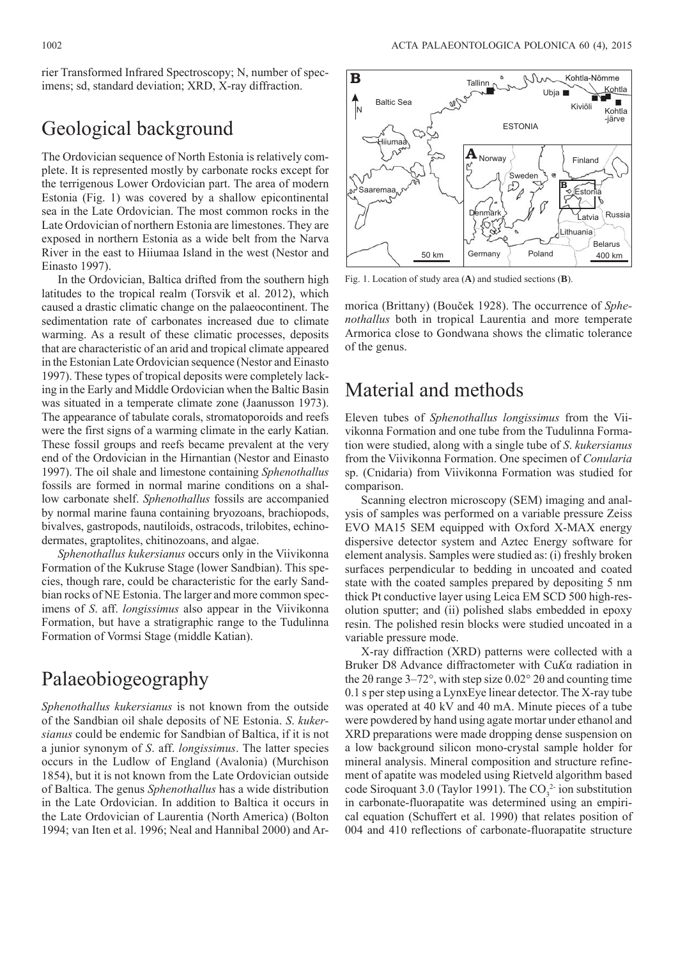rier Transformed Infrared Spectroscopy; N, number of specimens; sd, standard deviation; XRD, X-ray diffraction.

### Geological background

The Ordovician sequence of North Estonia is relatively complete. It is represented mostly by carbonate rocks except for the terrigenous Lower Ordovician part. The area of modern Estonia (Fig. 1) was covered by a shallow epicontinental sea in the Late Ordovician. The most common rocks in the Late Ordovician of northern Estonia are limestones. They are exposed in northern Estonia as a wide belt from the Narva River in the east to Hiiumaa Island in the west (Nestor and Einasto 1997).

In the Ordovician, Baltica drifted from the southern high latitudes to the tropical realm (Torsvik et al. 2012), which caused a drastic climatic change on the palaeocontinent. The sedimentation rate of carbonates increased due to climate warming. As a result of these climatic processes, deposits that are characteristic of an arid and tropical climate appeared in the Estonian Late Ordovician sequence (Nestor and Einasto 1997). These types of tropical deposits were completely lacking in the Early and Middle Ordovician when the Baltic Basin was situated in a temperate climate zone (Jaanusson 1973). The appearance of tabulate corals, stromatoporoids and reefs were the first signs of a warming climate in the early Katian. These fossil groups and reefs became prevalent at the very end of the Ordovician in the Hirnantian (Nestor and Einasto 1997). The oil shale and limestone containing *Sphenothallus* fossils are formed in normal marine conditions on a shallow carbonate shelf. *Sphenothallus* fossils are accompanied by normal marine fauna containing bryozoans, brachiopods, bivalves, gastropods, nautiloids, ostracods, trilobites, echinodermates, graptolites, chitinozoans, and algae.

*Sphenothallus kukersianus* occurs only in the Viivikonna Formation of the Kukruse Stage (lower Sandbian). This species, though rare, could be characteristic for the early Sandbian rocks of NE Estonia. The larger and more common specimens of *S*. aff. *longissimus* also appear in the Viivikonna Formation, but have a stratigraphic range to the Tudulinna Formation of Vormsi Stage (middle Katian).

# Palaeobiogeography

*Sphenothallus kukersianus* is not known from the outside of the Sandbian oil shale deposits of NE Estonia. *S*. *kukersianus* could be endemic for Sandbian of Baltica, if it is not a junior synonym of *S*. aff. *longissimus*. The latter species occurs in the Ludlow of England (Avalonia) (Murchison 1854), but it is not known from the Late Ordovician outside of Baltica. The genus *Sphenothallus* has a wide distribution in the Late Ordovician. In addition to Baltica it occurs in the Late Ordovician of Laurentia (North America) (Bolton 1994; van Iten et al. 1996; Neal and Hannibal 2000) and Ar-



Fig. 1. Location of study area (**A**) and studied sections (**B**).

morica (Brittany) (Bouček 1928). The occurrence of *Sphenothallus* both in tropical Laurentia and more temperate Armorica close to Gondwana shows the climatic tolerance of the genus.

### Material and methods

Eleven tubes of *Sphenothallus longissimus* from the Viivikonna Formation and one tube from the Tudulinna Formation were studied, along with a single tube of *S*. *kukersianus* from the Viivikonna Formation. One specimen of *Conularia* sp. (Cnidaria) from Viivikonna Formation was studied for comparison.

Scanning electron microscopy (SEM) imaging and analysis of samples was performed on a variable pressure Zeiss EVO MA15 SEM equipped with Oxford X-MAX energy dispersive detector system and Aztec Energy software for element analysis. Samples were studied as: (i) freshly broken surfaces perpendicular to bedding in uncoated and coated state with the coated samples prepared by depositing 5 nm thick Pt conductive layer using Leica EM SCD 500 high-resolution sputter; and (ii) polished slabs embedded in epoxy resin. The polished resin blocks were studied uncoated in a variable pressure mode.

X-ray diffraction (XRD) patterns were collected with a Bruker D8 Advance diffractometer with Cu*K*α radiation in the 2θ range 3–72°, with step size 0.02° 2θ and counting time 0.1 s per step using a LynxEye linear detector. The X-ray tube was operated at 40 kV and 40 mA. Minute pieces of a tube were powdered by hand using agate mortar under ethanol and XRD preparations were made dropping dense suspension on a low background silicon mono-crystal sample holder for mineral analysis. Mineral composition and structure refinement of apatite was modeled using Rietveld algorithm based code Siroquant 3.0 (Taylor 1991). The  $CO_3^2$  ion substitution in carbonate-fluorapatite was determined using an empirical equation (Schuffert et al. 1990) that relates position of 004 and 410 reflections of carbonate-fluorapatite structure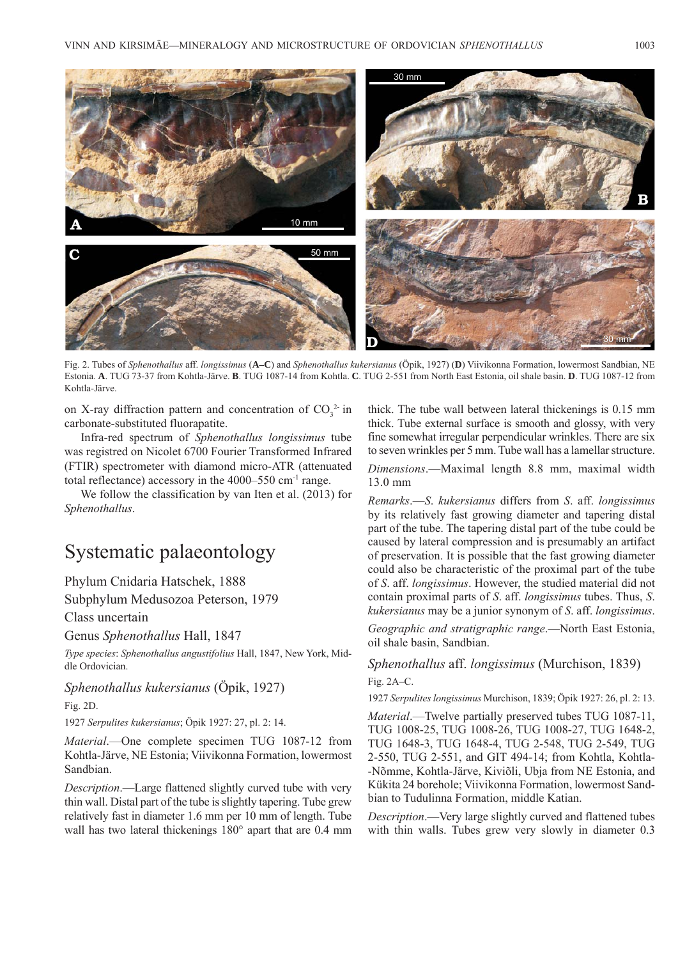

Fig. 2. Tubes of *Sphenothallus* aff. *longissimus* (**A–C**) and *Sphenothallus kukersianus* (Öpik, 1927) (**D**) Viivikonna Formation, lowermost Sandbian, NE Estonia. **A**. TUG 73-37 from Kohtla-Järve. **B**. TUG 1087-14 from Kohtla. **C**. TUG 2-551 from North East Estonia, oil shale basin. **D**. TUG 1087-12 from Kohtla-Järve.

on X-ray diffraction pattern and concentration of  $CO_3^2$  in carbonate-substituted fluorapatite.

Infra-red spectrum of *Sphenothallus longissimus* tube was registred on Nicolet 6700 Fourier Transformed Infrared (FTIR) spectrometer with diamond micro-ATR (attenuated total reflectance) accessory in the 4000–550 cm-1 range.

We follow the classification by van Iten et al. (2013) for *Sphenothallus*.

# Systematic palaeontology

Phylum Cnidaria Hatschek, 1888

Subphylum Medusozoa Peterson, 1979

Class uncertain

Genus *Sphenothallus* Hall, 1847

*Type species*: *Sphenothallus angustifolius* Hall, 1847, New York, Middle Ordovician.

*Sphenothallus kukersianus* (Öpik, 1927)

Fig. 2D.

1927 *Serpulites kukersianus*; Öpik 1927: 27, pl. 2: 14.

*Material*.—One complete specimen TUG 1087-12 from Kohtla -Järve, NE Estonia; Viivikonna Formation, lowermost Sandbian.

*Description*.—Large flattened slightly curved tube with very thin wall. Distal part of the tube is slightly tapering. Tube grew relatively fast in diameter 1.6 mm per 10 mm of length. Tube wall has two lateral thickenings 180° apart that are 0.4 mm thick. The tube wall between lateral thickenings is 0.15 mm thick. Tube external surface is smooth and glossy, with very fine somewhat irregular perpendicular wrinkles. There are six to seven wrinkles per 5 mm. Tube wall has a lamellar structure.

*Dimensions*.—Maximal length 8.8 mm, maximal width 13.0 mm

*Remarks*.—*S*. *kukersianus* differs from *S*. aff. *longissimus* by its relatively fast growing diameter and tapering distal part of the tube. The tapering distal part of the tube could be caused by lateral compression and is presumably an artifact of preservation. It is possible that the fast growing diameter could also be characteristic of the proximal part of the tube of *S*. aff. *longissimus*. However, the studied material did not contain proximal parts of *S*. aff. *longissimus* tubes. Thus, *S*. *kukersianus* may be a junior synonym of *S*. aff. *longissimus*.

*Geographic and stratigraphic range*.—North East Estonia, oil shale basin, Sandbian.

#### *Sphenothallus* aff. *longissimus* (Murchison, 1839)  $Fig. 2A-C.$

1927 *Serpulites longissimus* Murchison, 1839; Öpik 1927: 26, pl. 2: 13.

*Material*.—Twelve partially preserved tubes TUG 1087-11, TUG 1008-25, TUG 1008-26, TUG 1008-27, TUG 1648-2, TUG 1648-3, TUG 1648-4, TUG 2-548, TUG 2-549, TUG 2-550, TUG 2-551, and GIT 494-14; from Kohtla, Kohtla--Nõmme, Kohtla-Järve, Kiviõli, Ubja from NE Estonia, and Kükita 24 borehole; Viivikonna Formation, lowermost Sandbian to Tudulinna Formation, middle Katian.

*Description*.—Very large slightly curved and flattened tubes with thin walls. Tubes grew very slowly in diameter  $0.3$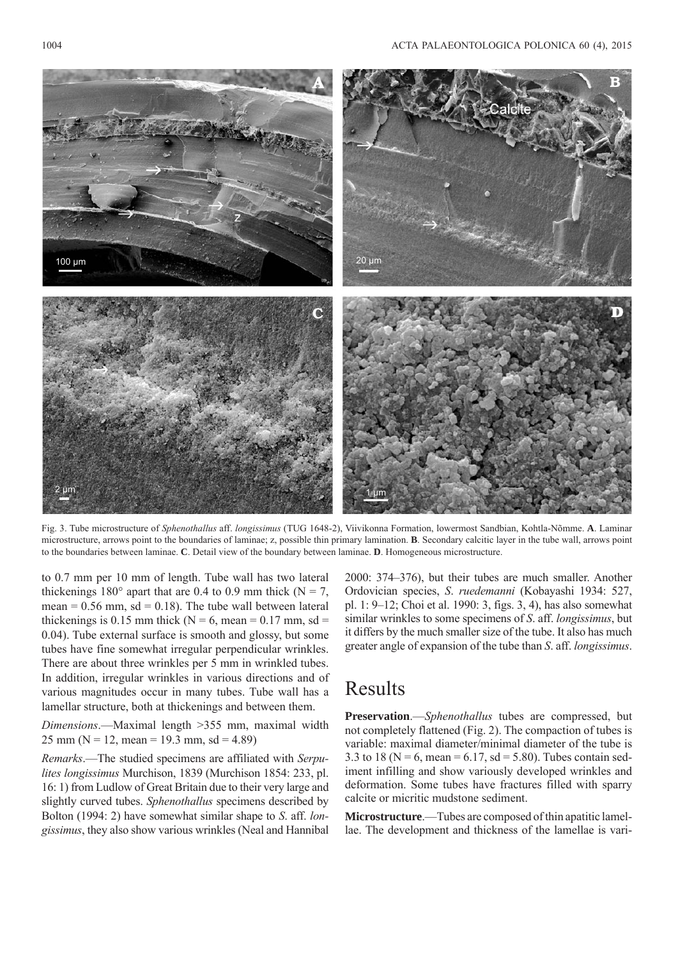

Fig. 3. Tube microstructure of *Sphenothallus* aff. *longissimus* (TUG 1648-2), Viivikonna Formation, lowermost Sandbian, Kohtla-Nõmme. **A**. Laminar micro structure, arrows point to the boundaries of laminae; z, possible thin primary lamination. **B**. Secondary calcitic layer in the tube wall, arrows point to the boundaries between laminae. **C**. Detail view of the boundary between laminae. **D**. Homogeneous microstructure.

to 0.7 mm per 10 mm of length. Tube wall has two lateral thickenings 180 $^{\circ}$  apart that are 0.4 to 0.9 mm thick (N = 7, mean =  $0.56$  mm, sd =  $0.18$ ). The tube wall between lateral thickenings is 0.15 mm thick ( $N = 6$ , mean = 0.17 mm, sd = 0.04). Tube external surface is smooth and glossy, but some tubes have fine somewhat irregular perpendicular wrinkles. There are about three wrinkles per 5 mm in wrinkled tubes. In addition, irregular wrinkles in various directions and of various magnitudes occur in many tubes. Tube wall has a lamellar structure, both at thickenings and between them.

*Dimensions*.—Maximal length >355 mm, maximal width 25 mm ( $N = 12$ , mean = 19.3 mm, sd = 4.89)

*Remarks*.—The studied specimens are affiliated with *Serpulites longissimus* Murchison, 1839 (Murchison 1854: 233, pl. 16: 1) from Ludlow of Great Britain due to their very large and slightly curved tubes. *Sphenothallus* specimens described by Bolton (1994: 2) have somewhat similar shape to *S*. aff. *longissimus*, they also show various wrinkles (Neal and Hannibal

2000: 374–376), but their tubes are much smaller. Another Ordovician species, *S*. *ruedemanni* (Kobayashi 1934: 527, pl. 1: 9–12; Choi et al. 1990: 3, figs. 3, 4), has also somewhat similar wrinkles to some specimens of *S*. aff. *longissimus*, but it differs by the much smaller size of the tube. It also has much greater angle of expansion of the tube than *S*. aff. *longissimus*.

### Results

**Preservation**.—*Sphenothallus* tubes are compressed, but not completely flattened (Fig. 2). The compaction of tubes is variable: maximal diameter/minimal diameter of the tube is 3.3 to 18 ( $N = 6$ , mean = 6.17, sd = 5.80). Tubes contain sediment infilling and show variously developed wrinkles and deformation. Some tubes have fractures filled with sparry calcite or micritic mudstone sediment.

**Microstructure**.—Tubes are composed of thin apatitic lamellae. The development and thickness of the lamellae is vari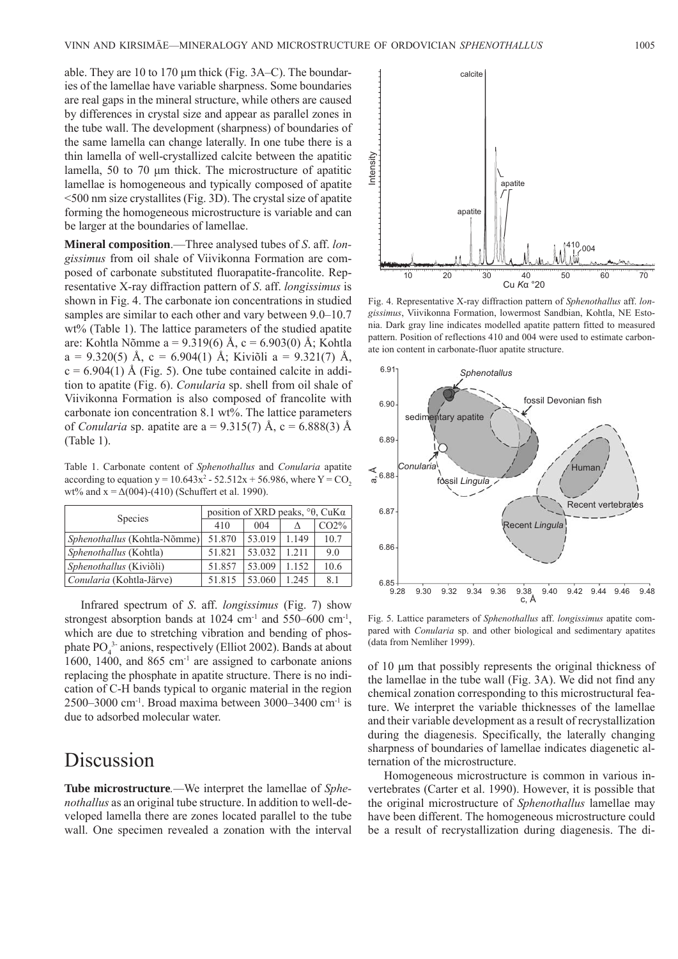able. They are 10 to 170 μm thick (Fig. 3A–C). The boundaries of the lamellae have variable sharpness. Some boundaries are real gaps in the mineral structure, while others are caused by differences in crystal size and appear as parallel zones in the tube wall. The development (sharpness) of boundaries of the same lamella can change laterally. In one tube there is a thin lamella of well-crystallized calcite between the apatitic lamella, 50 to 70 μm thick. The microstructure of apatitic lamellae is homogeneous and typically composed of apatite <500 nm size crystallites (Fig. 3D). The crystal size of apatite forming the homogeneous microstructure is variable and can be larger at the boundaries of lamellae.

**Mineral composition**.—Three analysed tubes of *S*. aff. *longissimus* from oil shale of Viivikonna Formation are composed of carbonate substituted fluorapatite-francolite. Representative X-ray diffraction pattern of *S*. aff. *longissimus* is shown in Fig. 4. The carbonate ion concentrations in studied samples are similar to each other and vary between 9.0–10.7 wt% (Table 1). The lattice parameters of the studied apatite are: Kohtla Nõmme a = 9.319(6) Å, c = 6.903(0) Å; Kohtla a = 9.320(5) Å, c = 6.904(1) Å; Kiviõli a = 9.321(7) Å,  $c = 6.904(1)$  Å (Fig. 5). One tube contained calcite in addition to apatite (Fig. 6). *Conularia* sp. shell from oil shale of Viivikonna Formation is also composed of francolite with carbonate ion concentration 8.1 wt%. The lattice parameters of *Conularia* sp. apatite are a =  $9.315(7)$  Å, c =  $6.888(3)$  Å (Table 1).

Table 1. Carbonate content of *Sphenothallus* and *Conularia* apatite according to equation  $y = 10.643x^2 - 52.512x + 56.986$ , where  $Y = CO_2$ wt% and  $x = \Delta(004)$ -(410) (Schuffert et al. 1990).

| <b>Species</b>               | position of XRD peaks, $\degree\theta$ , CuK $\alpha$ |        |       |      |
|------------------------------|-------------------------------------------------------|--------|-------|------|
|                              | 410                                                   | 004    |       | CO2% |
| Sphenothallus (Kohtla-Nõmme) | 51.870                                                | 53.019 | 1.149 | 10.7 |
| Sphenothallus (Kohtla)       | 51.821                                                | 53.032 | 1.211 | 9.0  |
| Sphenothallus (Kiviõli)      | 51.857                                                | 53.009 | 1.152 | 10.6 |
| Conularia (Kohtla-Järve)     | 51.815                                                | 53.060 | 1.245 | 8.1  |

Infrared spectrum of *S*. aff. *longissimus* (Fig. 7) show strongest absorption bands at  $1024 \text{ cm}^{-1}$  and  $550-600 \text{ cm}^{-1}$ , which are due to stretching vibration and bending of phosphate  $PO_4^{3}$  anions, respectively (Elliot 2002). Bands at about 1600, 1400, and 865 cm<sup>-1</sup> are assigned to carbonate anions replacing the phosphate in apatite structure. There is no indication of C-H bands typical to organic material in the region 2500–3000 cm<sup>-1</sup>. Broad maxima between 3000–3400 cm<sup>-1</sup> is due to adsorbed molecular water.

### Discussion

**Tube microstructure***.—*We interpret the lamellae of *Sphenothallus* as an original tube structure. In addition to well-developed lamella there are zones located parallel to the tube wall. One specimen revealed a zonation with the interval



Fig. 4. Representative X-ray diffraction pattern of *Sphenothallus* aff. *longissimus*, Viivikonna Formation, lowermost Sandbian, Kohtla, NE Estonia. Dark gray line indicates modelled apatite pattern fitted to measured pattern. Position of reflections 410 and 004 were used to estimate carbonate ion content in carbonate-fluor apatite structure.



Fig. 5. Lattice parameters of *Sphenothallus* aff. *longissimus* apatite compared with *Conularia* sp. and other biological and sedimentary apatites (data from Nemliher 1999).

of 10 μm that possibly represents the original thickness of the lamellae in the tube wall (Fig. 3A). We did not find any chemical zonation corresponding to this microstructural feature. We interpret the variable thicknesses of the lamellae and their variable development as a result of recrystallization during the diagenesis. Specifically, the laterally changing sharpness of boundaries of lamellae indicates diagenetic alternation of the microstructure.

Homogeneous microstructure is common in various invertebrates (Carter et al. 1990). However, it is possible that the original microstructure of *Sphenothallus* lamellae may have been different. The homogeneous microstructure could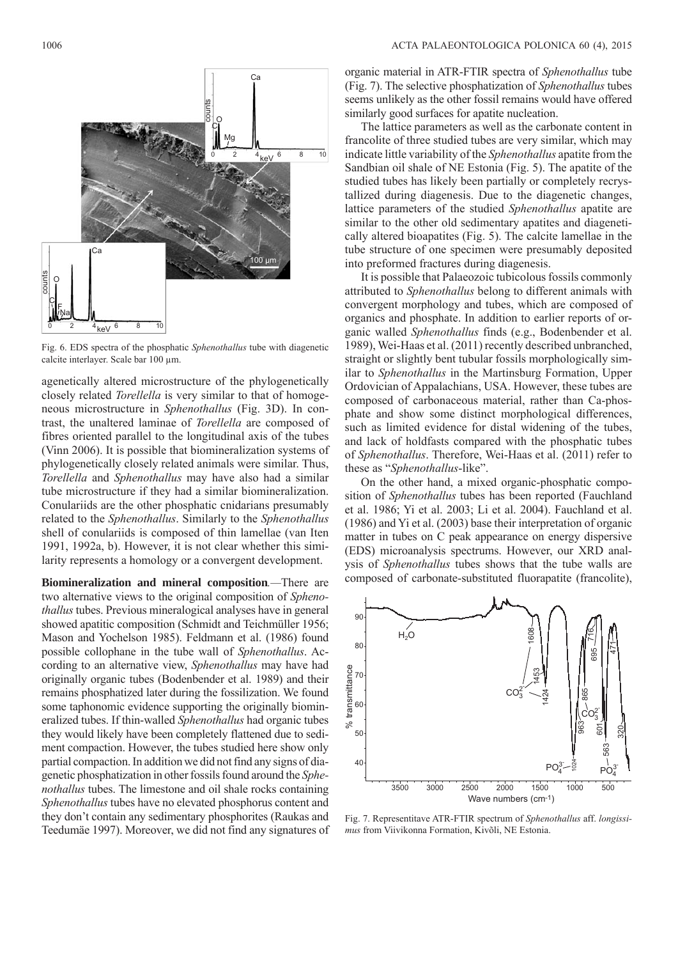

Fig. 6. EDS spectra of the phosphatic *Sphenothallus* tube with diagenetic calcite interlayer. Scale bar 100 μm.

agenetically altered microstructure of the phylogenetically closely related *Torellella* is very similar to that of homogeneous microstructure in *Sphenothallus* (Fig. 3D). In contrast, the unaltered laminae of *Torellella* are composed of fibres oriented parallel to the longitudinal axis of the tubes (Vinn 2006). It is possible that biomineralization systems of phylogenetically closely related animals were similar. Thus, *Torellella* and *Sphenothallus* may have also had a similar tube microstructure if they had a similar biomineralization. Conulariids are the other phosphatic cnidarians presumably related to the *Sphenothallus*. Similarly to the *Sphenothallus* shell of conulariids is composed of thin lamellae (van Iten 1991, 1992a, b). However, it is not clear whether this similarity represents a homology or a convergent development.

**Biomineralization and mineral composition***.—*There are two alternative views to the original composition of *Sphenothallus* tubes. Previous mineralogical analyses have in general showed apatitic composition (Schmidt and Teichmüller 1956; Mason and Yochelson 1985). Feldmann et al. (1986) found possible collophane in the tube wall of *Sphenothallus*. According to an alternative view, *Sphenothallus* may have had originally organic tubes (Bodenbender et al. 1989) and their remains phosphatized later during the fossilization. We found some taphonomic evidence supporting the originally biomineralized tubes. If thin-walled *Sphenothallus* had organic tubes they would likely have been completely flattened due to sediment compaction. However, the tubes studied here show only partial compaction. In addition we did not find any signs of diagenetic phosphatization in other fossils found around the *Sphenothallus* tubes. The limestone and oil shale rocks containing *Sphenothallus* tubes have no elevated phosphorus content and they don't contain any sedimentary phosphorites (Raukas and Teedumäe 1997). Moreover, we did not find any signatures of

organic material in ATR-FTIR spectra of *Sphenothallus* tube (Fig. 7). The selective phosphatization of *Sphenothallus* tubes seems unlikely as the other fossil remains would have offered similarly good surfaces for apatite nucleation.

The lattice parameters as well as the carbonate content in francolite of three studied tubes are very similar, which may indicate little variability of the *Sphenothallus* apatite from the Sandbian oil shale of NE Estonia (Fig. 5). The apatite of the studied tubes has likely been partially or completely recrystallized during diagenesis. Due to the diagenetic changes, lattice parameters of the studied *Sphenothallus* apatite are similar to the other old sedimentary apatites and diagenetically altered bioapatites (Fig. 5). The calcite lamellae in the tube structure of one specimen were presumably deposited into preformed fractures during diagenesis.

It is possible that Palaeozoic tubicolous fossils commonly attributed to *Sphenothallus* belong to different animals with convergent morphology and tubes, which are composed of organics and phosphate. In addition to earlier reports of organic walled *Sphenothallus* finds (e.g., Bodenbender et al. 1989), Wei-Haas et al. (2011) recently described unbranched, straight or slightly bent tubular fossils morphologically similar to *Sphenothallus* in the Martinsburg Formation, Upper Ordovician of Appalachians, USA. However, these tubes are composed of carbonaceous material, rather than Ca-phosphate and show some distinct morphological differences, such as limited evidence for distal widening of the tubes, and lack of holdfasts compared with the phosphatic tubes of *Sphenothallus*. Therefore, Wei-Haas et al. (2011) refer to these as "*Sphenothallus*-like".

On the other hand, a mixed organic-phosphatic composition of *Sphenothallus* tubes has been reported (Fauchland et al. 1986; Yi et al. 2003; Li et al. 2004). Fauchland et al. (1986) and Yi et al. (2003) base their interpretation of organic matter in tubes on C peak appearance on energy dispersive (EDS) microanalysis spectrums. However, our XRD analysis of *Sphenothallus* tubes shows that the tube walls are composed of carbonate-substituted fluorapatite (francolite),



Fig. 7. Representitave ATR-FTIR spectrum of *Sphenothallus* aff. *longissimus* from Viivikonna Formation, Kivõli, NE Estonia.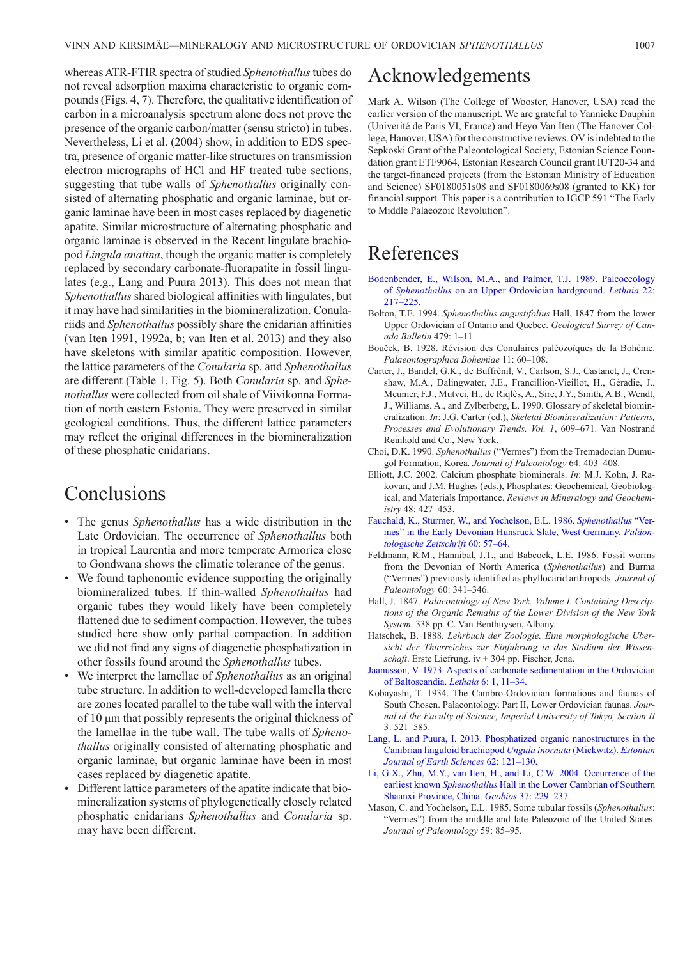whereas ATR-FTIR spectra of studied *Sphenothallus* tubes do not reveal adsorption maxima characteristic to organic compounds (Figs. 4, 7). Therefore, the qualitative identification of carbon in a microanalysis spectrum alone does not prove the presence of the organic carbon/matter (sensu stricto) in tubes. Nevertheless, Li et al. (2004) show, in addition to EDS spectra, presence of organic matter-like structures on transmission electron micrographs of HCl and HF treated tube sections, suggesting that tube walls of *Sphenothallus* originally consisted of alternating phosphatic and organic laminae, but organic laminae have been in most cases replaced by diagenetic apatite. Similar microstructure of alternating phosphatic and organic laminae is observed in the Recent lingulate brachiopod *Lingula anatina*, though the organic matter is completely replaced by secondary carbonate-fluorapatite in fossil lingulates (e.g., Lang and Puura 2013). This does not mean that *Sphenothallus* shared biological affinities with lingulates, but it may have had similarities in the biomineralization. Conulariids and *Sphenothallus* possibly share the cnidarian affinities (van Iten 1991, 1992a, b; van Iten et al. 2013) and they also have skeletons with similar apatitic composition. However, the lattice parameters of the *Conularia* sp. and *Sphenothallus* are different (Table 1, Fig. 5). Both *Conularia* sp. and *Sphenothallus* were collected from oil shale of Viivikonna Formation of north eastern Estonia. They were preserved in similar geological conditions. Thus, the different lattice parameters may reflect the original differences in the biomineralization of these phosphatic cnidarians.

# Conclusions

- The genus *Sphenothallus* has a wide distribution in the Late Ordovician. The occurrence of *Sphenothallus* both in tropical Laurentia and more temperate Armorica close to Gondwana shows the climatic tolerance of the genus.
- We found taphonomic evidence supporting the originally biomineralized tubes. If thin-walled *Sphenothallus* had organic tubes they would likely have been completely flattened due to sediment compaction. However, the tubes studied here show only partial compaction. In addition we did not find any signs of diagenetic phosphatization in other fossils found around the *Sphenothallus* tubes.
- We interpret the lamellae of *Sphenothallus* as an original tube structure. In addition to well-developed lamella there are zones located parallel to the tube wall with the interval of 10 μm that possibly represents the original thickness of the lamellae in the tube wall. The tube walls of *Sphenothallus* originally consisted of alternating phosphatic and organic laminae, but organic laminae have been in most cases replaced by diagenetic apatite.
- Different lattice parameters of the apatite indicate that biomineralization systems of phylogenetically closely related phosphatic cnidarians *Sphenothallus* and *Conularia* sp. may have been different.

### Acknowledgements

Mark A. Wilson (The College of Wooster, Hanover, USA) read the earlier version of the manuscript. We are grateful to Yannicke Dauphin (Univerité de Paris VI, France) and Heyo Van Iten (The Hanover College, Hanover, USA) for the constructive reviews. OV is indebted to the Sepkoski Grant of the Paleontological Society, Estonian Science Foundation grant ETF9064, Estonian Research Council grant IUT20-34 and the target-financed projects (from the Estonian Ministry of Education and Science) SF0180051s08 and SF0180069s08 (granted to KK) for financial support. This paper is a contribution to IGCP 591 "The Early to Middle Palaeozoic Revolution".

# References

- [Bodenbender, E., Wilson, M.A., and Palmer, T.J. 1989. Paleoecology](http://dx.doi.org/10.1111/j.1502-3931.1989.tb01685.x)  of *Sphenothallus* on an Upper Ordovician hardground. *Lethaia* 22: 217–225.
- Bolton, T.E. 1994. *Sphenothallus angustifolius* Hall, 1847 from the lower Upper Ordovician of Ontario and Quebec. *Geological Survey of Canada Bulletin* 479: 1–11.
- Bouček, B. 1928. Révision des Conulaires paléozoïques de la Bohême. *Palaeontographica Bohemiae* 11: 60–108.
- Carter, J., Bandel, G.K., de Buffrènil, V., Carlson, S.J., Castanet, J., Crenshaw, M.A., Dalingwater, J.E., Francillion-Vieillot, H., Géradie, J., Meunier, F.J., Mutvei, H., de Riqlès, A., Sire, J.Y., Smith, A.B., Wendt, J., Williams, A., and Zylberberg, L. 1990. Glossary of skeletal biomineralization. *In*: J.G. Carter (ed.), *Skeletal Biomineralization: Patterns, Processes and Evolutionary Trends. Vol. 1*, 609–671. Van Nostrand Reinhold and Co., New York.
- Choi, D.K. 1990. *Sphenothallus* ("Vermes") from the Tremadocian Dumugol Formation, Korea. *Journal of Paleontology* 64: 403–408.
- Elliott, J.C. 2002. Calcium phosphate biominerals. *In*: M.J. Kohn, J. Rakovan, and J.M. Hughes (eds.), Phosphates: Geochemical, Geobiological, and Materials Importance. *Reviews in Mineralogy and Geochemistry* 48: 427–453.
- Fauchald, K., Sturmer, W., and Yochelson, E.L. 1986. *Sphenothallus* "Ver[mes" in the Early Devonian Hunsruck Slate, West Germany.](http://dx.doi.org/10.1007/BF02989422) *Paläontologische Zeitschrift* 60: 57–64.
- Feldmann, R.M., Hannibal, J.T., and Babcock, L.E. 1986. Fossil worms from the Devonian of North America (*Sphenothallus*) and Burma ("Vermes") previously identified as phyllocarid arthropods. *Journal of Paleontology* 60: 341–346.
- Hall, J. 1847. *Palaeontology of New York. Volume I. Containing Descriptions of the Organic Remains of the Lower Division of the New York System*. 338 pp. C. Van Benthuysen, Albany.
- Hatschek, B. 1888. *Lehrbuch der Zoologie. Eine morphologische Ubersicht der Thierreiches zur Einfuhrung in das Stadium der Wissenschaft*. Erste Liefrung. iv + 304 pp. Fischer, Jena.
- [Jaanusson, V. 1973. Aspects of carbonate sedimentation in the Ordovician](http://dx.doi.org/10.1111/j.1502-3931.1973.tb00871.x)  of Baltoscandia. *Lethaia* 6: 1, 11–34.
- Kobayashi, T. 1934. The Cambro-Ordovician formations and faunas of South Chosen. Palaeontology. Part II, Lower Ordovician faunas. *Journal of the Faculty of Science, Imperial University of Tokyo, Section II* 3: 521–585.
- [Lang, L. and Puura, I. 2013. Phosphatized organic nanostructures in the](http://dx.doi.org/10.3176/earth.2013.10)  Cambrian linguloid brachiopod *Ungula inornata* (Mickwitz). *Estonian Journal of Earth Sciences* 62: 121–130.
- [Li, G.X., Zhu, M.Y., van Iten, H., and Li, C.W. 2004. Occurrence of the](http://dx.doi.org/10.1016/j.geobios.2003.04.002)  earliest known *Sphenothallus* Hall in the Lower Cambrian of Southern Shaanxi Province, China. *Geobios* 37: 229–237.
- Mason, C. and Yochelson, E.L. 1985. Some tubular fossils (*Sphenothallus*: "Vermes") from the middle and late Paleozoic of the United States. *Journal of Paleontology* 59: 85–95.